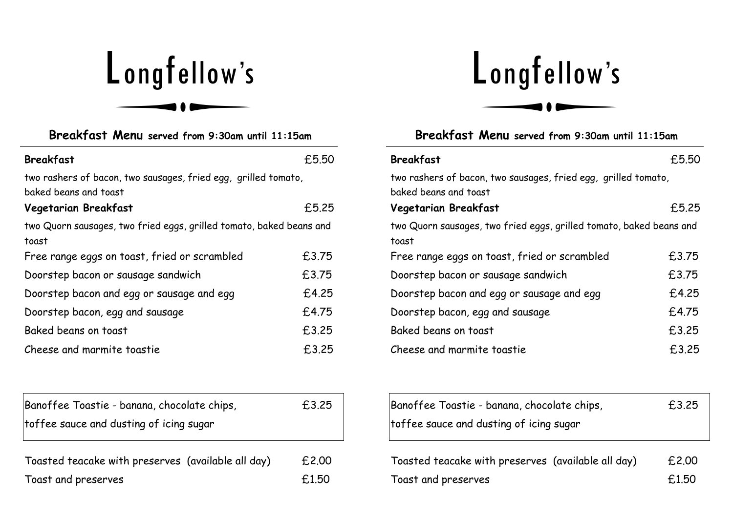## Longfellow's

| Breakfast Menu served from 9:30am until 11:15am                                         |       |  |
|-----------------------------------------------------------------------------------------|-------|--|
| <b>Breakfast</b>                                                                        | £5.50 |  |
| two rashers of bacon, two sausages, fried egg, grilled tomato,<br>baked beans and toast |       |  |
| Vegetarian Breakfast                                                                    | £5.25 |  |
| two Quorn sausages, two fried eggs, grilled tomato, baked beans and<br>toast            |       |  |
| Free range eggs on toast, fried or scrambled                                            | £3.75 |  |
| Doorstep bacon or sausage sandwich                                                      | £3.75 |  |
| Doorstep bacon and egg or sausage and egg                                               | £4.25 |  |
| Doorstep bacon, egg and sausage                                                         | £4.75 |  |
| Baked beans on toast                                                                    | £3.25 |  |
| Cheese and marmite toastie                                                              | £3.25 |  |

| Banoffee Toastie - banana, chocolate chips,<br>toffee sauce and dusting of icing sugar | £3.25 |
|----------------------------------------------------------------------------------------|-------|
| Toasted teacake with preserves (available all day)                                     | £2.00 |

Toast and preserves **E1.50** 

## Longfellow's

| Breakfast Menu served from 9:30am until 11:15am                                         |       |  |
|-----------------------------------------------------------------------------------------|-------|--|
| <b>Breakfast</b>                                                                        | £5.50 |  |
| two rashers of bacon, two sausages, fried egg, grilled tomato,<br>baked beans and toast |       |  |
| Vegetarian Breakfast                                                                    | £5.25 |  |
| two Quorn sausages, two fried eggs, grilled tomato, baked beans and<br>toast            |       |  |
| Free range eggs on toast, fried or scrambled                                            | £3.75 |  |
| Doorstep bacon or sausage sandwich                                                      | £3.75 |  |
| Doorstep bacon and egg or sausage and egg                                               | £4.25 |  |
| Doorstep bacon, egg and sausage                                                         | £4.75 |  |
| Baked beans on toast                                                                    | £3.25 |  |
| Cheese and marmite toastie                                                              | £3.25 |  |

| Banoffee Toastie - banana, chocolate chips,                               | £3.25          |
|---------------------------------------------------------------------------|----------------|
| toffee sauce and dusting of icing sugar                                   |                |
| Toasted teacake with preserves (available all day)<br>Toast and preserves | £2.00<br>£1.50 |